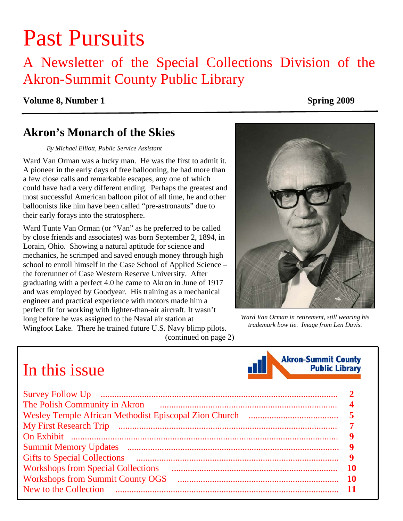# Past Pursuits

# A Newsletter of the Special Collections Division of the Akron-Summit County Public Library

#### **Volume 8, Number 1** Spring 2009

## **Akron's Monarch of the Skies**

#### *By Michael Elliott, Public Service Assistant*

Ward Van Orman was a lucky man. He was the first to admit it. A pioneer in the early days of free ballooning, he had more than a few close calls and remarkable escapes, any one of which could have had a very different ending. Perhaps the greatest and most successful American balloon pilot of all time, he and other balloonists like him have been called "pre-astronauts" due to their early forays into the stratosphere.

Ward Tunte Van Orman (or "Van" as he preferred to be called by close friends and associates) was born September 2, 1894, in Lorain, Ohio. Showing a natural aptitude for science and mechanics, he scrimped and saved enough money through high school to enroll himself in the Case School of Applied Science – the forerunner of Case Western Reserve University. After graduating with a perfect 4.0 he came to Akron in June of 1917 and was employed by Goodyear. His training as a mechanical engineer and practical experience with motors made him a perfect fit for working with lighter-than-air aircraft. It wasn't long before he was assigned to the Naval air station at Wingfoot Lake. There he trained future U.S. Navy blimp pilots. [\(continued on page 2\)](#page-1-0) 



*Ward Van Orman in retirement, still wearing his trademark bow tie. Image from Len Davis.* 

# In this issue

| <b>Gifts to Special Collections</b>       |    |
|-------------------------------------------|----|
| <b>Workshops from Special Collections</b> | 10 |
| <b>Workshops from Summit County OGS</b>   | 10 |
| New to the Collection                     |    |

**Akron-Summit County Public Library**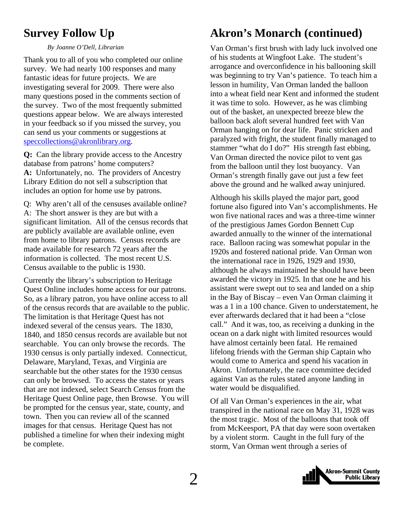Thank you to all of you who completed our online survey. We had nearly 100 responses and many fantastic ideas for future projects. We are investigating several for 2009. There were also many questions posed in the comments section of the survey. Two of the most frequently submitted questions appear below. We are always interested in your feedback so if you missed the survey, you can send us your comments or suggestions at [speccollections@akronlibrary.org.](mailto:speccollections@akronlibrary.org)

**Q:** Can the library provide access to the Ancestry database from patrons' home computers? **A:** Unfortunately, no. The providers of Ancestry Library Edition do not sell a subscription that includes an option for home use by patrons.<br>Although his skills played the major part, good

Q: Why aren't all of the censuses available online? A: The short answer is they are but with a significant limitation. All of the census records that are publicly available are available online, even from home to library patrons. Census records are made available for research 72 years after the information is collected. The most recent U.S. Census available to the public is 1930.

Currently the library's subscription to Heritage Quest Online includes home access for our patrons. So, as a library patron, you have online access to all of the census records that are available to the public. The limitation is that Heritage Quest has not indexed several of the census years. The 1830, 1840, and 1850 census records are available but not searchable. You can only browse the records. The 1930 census is only partially indexed. Connecticut, Delaware, Maryland, Texas, and Virginia are searchable but the other states for the 1930 census can only be browsed. To access the states or years that are not indexed, select Search Census from the Heritage Quest Online page, then Browse. You will be prompted for the census year, state, county, and town. Then you can review all of the scanned images for that census. Heritage Quest has not published a timeline for when their indexing might be complete.

# <span id="page-1-0"></span>**Survey Follow Up Akron's Monarch (continued)**

By Joanne O'Dell, Librarian **Van Orman's first brush with lady luck involved one** of his students at Wingfoot Lake. The student's arrogance and overconfidence in his ballooning skill was beginning to try Van's patience. To teach him a lesson in humility, Van Orman landed the balloon into a wheat field near Kent and informed the student it was time to solo. However, as he was climbing out of the basket, an unexpected breeze blew the balloon back aloft several hundred feet with Van Orman hanging on for dear life. Panic stricken and paralyzed with fright, the student finally managed to stammer "what do I do?" His strength fast ebbing, Van Orman directed the novice pilot to vent gas from the balloon until they lost buoyancy. Van Orman's strength finally gave out just a few feet above the ground and he walked away uninjured.

> fortune also figured into Van's accomplishments. He won five national races and was a three-time winner of the prestigious James Gordon Bennett Cup awarded annually to the winner of the international race. Balloon racing was somewhat popular in the 1920s and fostered national pride. Van Orman won the international race in 1926, 1929 and 1930, although he always maintained he should have been awarded the victory in 1925. In that one he and his assistant were swept out to sea and landed on a ship in the Bay of Biscay – even Van Orman claiming it was a 1 in a 100 chance. Given to understatement, he ever afterwards declared that it had been a "close call." And it was, too, as receiving a dunking in the ocean on a dark night with limited resources would have almost certainly been fatal. He remained lifelong friends with the German ship Captain who would come to America and spend his vacation in Akron. Unfortunately, the race committee decided against Van as the rules stated anyone landing in water would be disqualified.

Of all Van Orman's experiences in the air, what transpired in the national race on May 31, 1928 was the most tragic. Most of the balloons that took off from McKeesport, PA that day were soon overtaken by a violent storm. Caught in the full fury of the storm, Van Orman went through a series of

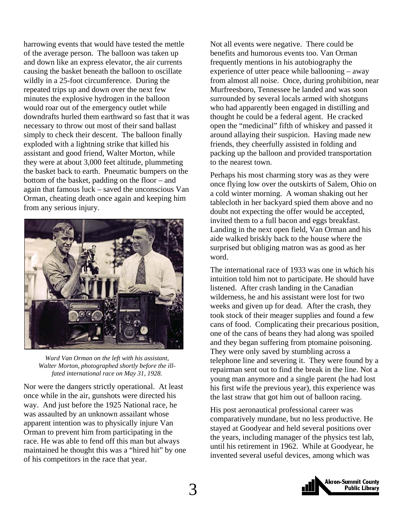harrowing events that would have tested the mettle of the average person. The balloon was taken up and down like an express elevator, the air currents causing the basket beneath the balloon to oscillate wildly in a 25-foot circumference. During the repeated trips up and down over the next few minutes the explosive hydrogen in the balloon would roar out of the emergency outlet while downdrafts hurled them earthward so fast that it was necessary to throw out most of their sand ballast simply to check their descent. The balloon finally exploded with a lightning strike that killed his assistant and good friend, Walter Morton, while they were at about 3,000 feet altitude, plummeting the basket back to earth. Pneumatic bumpers on the bottom of the basket, padding on the floor – and again that famous luck – saved the unconscious Van Orman, cheating death once again and keeping him from any serious injury.



*Ward Van Orman on the left with his assistant, Walter Morton, photographed shortly before the illfated international race on May 31, 1928.* 

Nor were the dangers strictly operational. At least once while in the air, gunshots were directed his way. And just before the 1925 National race, he was assaulted by an unknown assailant whose apparent intention was to physically injure Van Orman to prevent him from participating in the race. He was able to fend off this man but always maintained he thought this was a "hired hit" by one of his competitors in the race that year.

Not all events were negative. There could be benefits and humorous events too. Van Orman frequently mentions in his autobiography the experience of utter peace while ballooning – away from almost all noise. Once, during prohibition, near Murfreesboro, Tennessee he landed and was soon surrounded by several locals armed with shotguns who had apparently been engaged in distilling and thought he could be a federal agent. He cracked open the "medicinal" fifth of whiskey and passed it around allaying their suspicion. Having made new friends, they cheerfully assisted in folding and packing up the balloon and provided transportation to the nearest town.

Perhaps his most charming story was as they were once flying low over the outskirts of Salem, Ohio on a cold winter morning. A woman shaking out her tablecloth in her backyard spied them above and no doubt not expecting the offer would be accepted, invited them to a full bacon and eggs breakfast. Landing in the next open field, Van Orman and his aide walked briskly back to the house where the surprised but obliging matron was as good as her word.

The international race of 1933 was one in which his intuition told him not to participate. He should have listened. After crash landing in the Canadian wilderness, he and his assistant were lost for two weeks and given up for dead. After the crash, they took stock of their meager supplies and found a few cans of food. Complicating their precarious position, one of the cans of beans they had along was spoiled and they began suffering from ptomaine poisoning. They were only saved by stumbling across a telephone line and severing it. They were found by a repairman sent out to find the break in the line. Not a young man anymore and a single parent (he had lost his first wife the previous year), this experience was the last straw that got him out of balloon racing.

His post aeronautical professional career was comparatively mundane, but no less productive. He stayed at Goodyear and held several positions over the years, including manager of the physics test lab, until his retirement in 1962. While at Goodyear, he invented several useful devices, among which was

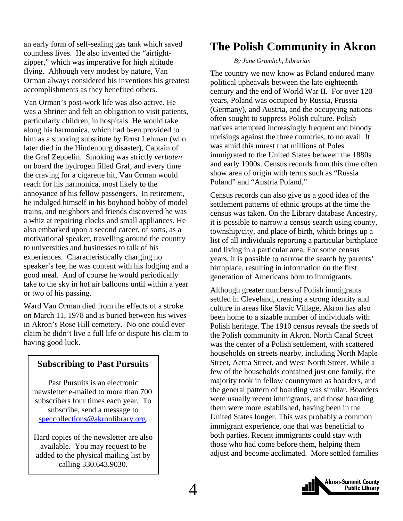<span id="page-3-0"></span>an early form of self-sealing gas tank which saved countless lives. He also invented the "airtightzipper," which was imperative for high altitude flying. Although very modest by nature, Van Orman always considered his inventions his greatest accomplishments as they benefited others.

Van Orman's post-work life was also active. He was a Shriner and felt an obligation to visit patients, particularly children, in hospitals. He would take along his harmonica, which had been provided to him as a smoking substitute by Ernst Lehman (who later died in the Hindenburg disaster), Captain of the Graf Zeppelin. Smoking was strictly *verboten* on board the hydrogen filled Graf, and every time the craving for a cigarette hit, Van Orman would reach for his harmonica, most likely to the annoyance of his fellow passengers. In retirement, he indulged himself in his boyhood hobby of model trains, and neighbors and friends discovered he was a whiz at repairing clocks and small appliances. He also embarked upon a second career, of sorts, as a motivational speaker, travelling around the country to universities and businesses to talk of his experiences. Characteristically charging no speaker's fee, he was content with his lodging and a good meal. And of course he would periodically take to the sky in hot air balloons until within a year or two of his passing.

Ward Van Orman died from the effects of a stroke on March 11, 1978 and is buried between his wives in Akron's Rose Hill cemetery. No one could ever claim he didn't live a full life or dispute his claim to having good luck.

#### **Subscribing to Past Pursuits**

Past Pursuits is an electronic newsletter e-mailed to more than 700 subscribers four times each year. To subscribe, send a message to [speccollections@akronlibrary.org.](mailto:speccollections@akronlibrary.org)

Hard copies of the newsletter are also available. You may request to be added to the physical mailing list by calling 330.643.9030.

# **The Polish Community in Akron**

#### *By Jane Gramlich, Librarian*

The country we now know as Poland endured many political upheavals between the late eighteenth century and the end of World War II. For over 120 years, Poland was occupied by Russia, Prussia (Germany), and Austria, and the occupying nations often sought to suppress Polish culture. Polish natives attempted increasingly frequent and bloody uprisings against the three countries, to no avail. It was amid this unrest that millions of Poles immigrated to the United States between the 1880s and early 1900s. Census records from this time often show area of origin with terms such as "Russia Poland" and "Austria Poland."

Census records can also give us a good idea of the settlement patterns of ethnic groups at the time the census was taken. On the Library database Ancestry, it is possible to narrow a census search using county, township/city, and place of birth, which brings up a list of all individuals reporting a particular birthplace and living in a particular area. For some census years, it is possible to narrow the search by parents' birthplace, resulting in information on the first generation of Americans born to immigrants.

Although greater numbers of Polish immigrants settled in Cleveland, creating a strong identity and culture in areas like Slavic Village, Akron has also been home to a sizable number of individuals with Polish heritage. The 1910 census reveals the seeds of the Polish community in Akron. North Canal Street was the center of a Polish settlement, with scattered households on streets nearby, including North Maple Street, Aetna Street, and West North Street. While a few of the households contained just one family, the majority took in fellow countrymen as boarders, and the general pattern of boarding was similar. Boarders were usually recent immigrants, and those boarding them were more established, having been in the United States longer. This was probably a common immigrant experience, one that was beneficial to both parties. Recent immigrants could stay with those who had come before them, helping them adjust and become acclimated. More settled families

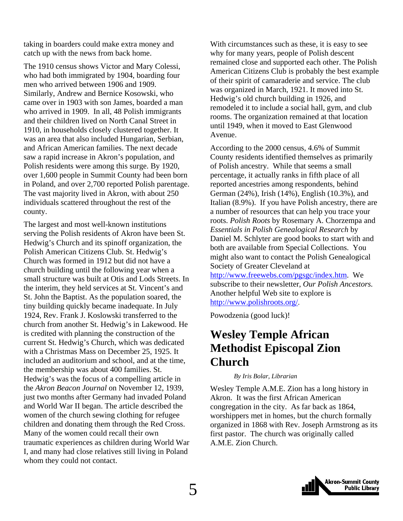<span id="page-4-0"></span>taking in boarders could make extra money and catch up with the news from back home.

The 1910 census shows Victor and Mary Colessi, who had both immigrated by 1904, boarding four men who arrived between 1906 and 1909. Similarly, Andrew and Bernice Kosowski, who came over in 1903 with son James, boarded a man who arrived in 1909. In all, 48 Polish immigrants and their children lived on North Canal Street in 1910, in households closely clustered together. It was an area that also included Hungarian, Serbian, and African American families. The next decade saw a rapid increase in Akron's population, and Polish residents were among this surge. By 1920, over 1,600 people in Summit County had been born in Poland, and over 2,700 reported Polish parentage. The vast majority lived in Akron, with about 250 individuals scattered throughout the rest of the county.

The largest and most well-known institutions serving the Polish residents of Akron have been St. Hedwig's Church and its spinoff organization, the Polish American Citizens Club. St. Hedwig's Church was formed in 1912 but did not have a church building until the following year when a small structure was built at Otis and Lods Streets. In the interim, they held services at St. Vincent's and St. John the Baptist. As the population soared, the tiny building quickly became inadequate. In July 1924, Rev. Frank J. Koslowski transferred to the church from another St. Hedwig's in Lakewood. He is credited with planning the construction of the current St. Hedwig's Church, which was dedicated with a Christmas Mass on December 25, 1925. It included an auditorium and school, and at the time, the membership was about 400 families. St. Hedwig's was the focus of a compelling article in the *Akron Beacon Journal* on November 12, 1939, just two months after Germany had invaded Poland and World War II began. The article described the women of the church sewing clothing for refugee children and donating them through the Red Cross. Many of the women could recall their own traumatic experiences as children during World War I, and many had close relatives still living in Poland whom they could not contact.

With circumstances such as these, it is easy to see why for many years, people of Polish descent remained close and supported each other. The Polish American Citizens Club is probably the best example of their spirit of camaraderie and service. The club was organized in March, 1921. It moved into St. Hedwig's old church building in 1926, and remodeled it to include a social hall, gym, and club rooms. The organization remained at that location until 1949, when it moved to East Glenwood Avenue.

According to the 2000 census, 4.6% of Summit County residents identified themselves as primarily of Polish ancestry. While that seems a small percentage, it actually ranks in fifth place of all reported ancestries among respondents, behind German (24%), Irish (14%), English (10.3%), and Italian (8.9%). If you have Polish ancestry, there are a number of resources that can help you trace your roots. *Polish Roots* by Rosemary A. Chorzempa and *Essentials in Polish Genealogical Research* by Daniel M. Schlyter are good books to start with and both are available from Special Collections. You might also want to contact the Polish Genealogical Society of Greater Cleveland at

<http://www.freewebs.com/pgsgc/index.htm>. We subscribe to their newsletter, *Our Polish Ancestors.*  Another helpful Web site to explore is [http://www.polishroots.org/.](http://www.polishroots.org/)

Powodzenia (good luck)!

# **Wesley Temple African Methodist Episcopal Zion Church**

#### *By Iris Bolar, Librarian*

Wesley Temple A.M.E. Zion has a long history in Akron. It was the first African American congregation in the city. As far back as 1864, worshippers met in homes, but the church formally organized in 1868 with Rev. Joseph Armstrong as its first pastor. The church was originally called A.M.E. Zion Church.

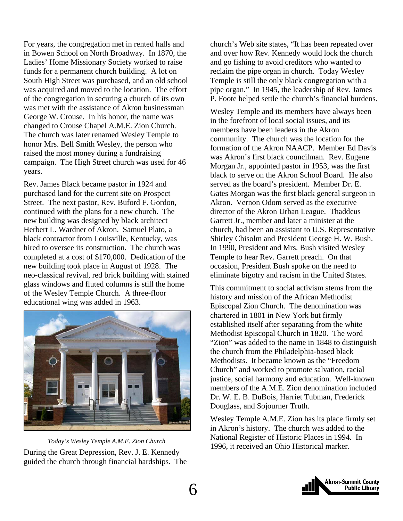For years, the congregation met in rented halls and in Bowen School on North Broadway. In 1870, the Ladies' Home Missionary Society worked to raise funds for a permanent church building. A lot on South High Street was purchased, and an old school was acquired and moved to the location. The effort of the congregation in securing a church of its own was met with the assistance of Akron businessman George W. Crouse. In his honor, the name was changed to Crouse Chapel A.M.E. Zion Church. The church was later renamed Wesley Temple to honor Mrs. Bell Smith Wesley, the person who raised the most money during a fundraising campaign. The High Street church was used for 46 years.

Rev. James Black became pastor in 1924 and purchased land for the current site on Prospect Street. The next pastor, Rev. Buford F. Gordon, continued with the plans for a new church. The new building was designed by black architect Herbert L. Wardner of Akron. Samuel Plato, a black contractor from Louisville, Kentucky, was hired to oversee its construction. The church was completed at a cost of \$170,000. Dedication of the new building took place in August of 1928. The neo-classical revival, red brick building with stained glass windows and fluted columns is still the home of the Wesley Temple Church. A three-floor educational wing was added in 1963.



During the Great Depression, Rev. J. E. Kennedy guided the church through financial hardships. The

church's Web site states, "It has been repeated over and over how Rev. Kennedy would lock the church and go fishing to avoid creditors who wanted to reclaim the pipe organ in church. Today Wesley Temple is still the only black congregation with a pipe organ." In 1945, the leadership of Rev. James P. Foote helped settle the church's financial burdens.

Wesley Temple and its members have always been in the forefront of local social issues, and its members have been leaders in the Akron community. The church was the location for the formation of the Akron NAACP. Member Ed Davis was Akron's first black councilman. Rev. Eugene Morgan Jr., appointed pastor in 1953, was the first black to serve on the Akron School Board. He also served as the board's president. Member Dr. E. Gates Morgan was the first black general surgeon in Akron. Vernon Odom served as the executive director of the Akron Urban League. Thaddeus Garrett Jr., member and later a minister at the church, had been an assistant to U.S. Representative Shirley Chisolm and President George H. W. Bush. In 1990, President and Mrs. Bush visited Wesley Temple to hear Rev. Garrett preach. On that occasion, President Bush spoke on the need to eliminate bigotry and racism in the United States.

This commitment to social activism stems from the history and mission of the African Methodist Episcopal Zion Church. The denomination was chartered in 1801 in New York but firmly established itself after separating from the white Methodist Episcopal Church in 1820. The word "Zion" was added to the name in 1848 to distinguish the church from the Philadelphia-based black Methodists. It became known as the "Freedom Church" and worked to promote salvation, racial justice, social harmony and education. Well-known members of the A.M.E. Zion denomination included Dr. W. E. B. DuBois, Harriet Tubman, Frederick Douglass, and Sojourner Truth.

Wesley Temple A.M.E. Zion has its place firmly set in Akron's history. The church was added to the National Register of Historic Places in 1994. In 1996, it received an Ohio Historical marker. *Today's Wesley Temple A.M.E. Zion Church* 

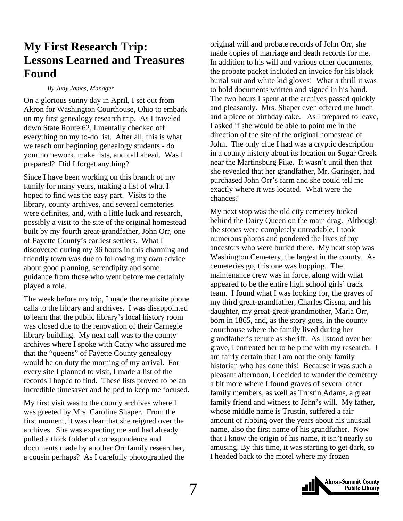# <span id="page-6-0"></span>**My First Research Trip: Lessons Learned and Treasures Found**

#### *By Judy James, Manager*

On a glorious sunny day in April, I set out from Akron for Washington Courthouse, Ohio to embark on my first genealogy research trip. As I traveled down State Route 62, I mentally checked off everything on my to-do list. After all, this is what we teach our beginning genealogy students - do your homework, make lists, and call ahead. Was I prepared? Did I forget anything?

Since I have been working on this branch of my family for many years, making a list of what I hoped to find was the easy part. Visits to the library, county archives, and several cemeteries were definites, and, with a little luck and research, possibly a visit to the site of the original homestead built by my fourth great-grandfather, John Orr, one of Fayette County's earliest settlers. What I discovered during my 36 hours in this charming and friendly town was due to following my own advice about good planning, serendipity and some guidance from those who went before me certainly played a role.

The week before my trip, I made the requisite phone calls to the library and archives. I was disappointed to learn that the public library's local history room was closed due to the renovation of their Carnegie library building. My next call was to the county archives where I spoke with Cathy who assured me that the "queens" of Fayette County genealogy would be on duty the morning of my arrival. For every site I planned to visit, I made a list of the records I hoped to find. These lists proved to be an incredible timesaver and helped to keep me focused.

My first visit was to the county archives where I was greeted by Mrs. Caroline Shaper. From the first moment, it was clear that she reigned over the archives. She was expecting me and had already pulled a thick folder of correspondence and documents made by another Orr family researcher, a cousin perhaps? As I carefully photographed the

original will and probate records of John Orr, she made copies of marriage and death records for me. In addition to his will and various other documents, the probate packet included an invoice for his black burial suit and white kid gloves! What a thrill it was to hold documents written and signed in his hand. The two hours I spent at the archives passed quickly and pleasantly. Mrs. Shaper even offered me lunch and a piece of birthday cake. As I prepared to leave, I asked if she would be able to point me in the direction of the site of the original homestead of John. The only clue I had was a cryptic description in a county history about its location on Sugar Creek near the Martinsburg Pike. It wasn't until then that she revealed that her grandfather, Mr. Garinger, had purchased John Orr's farm and she could tell me exactly where it was located. What were the chances?

My next stop was the old city cemetery tucked behind the Dairy Queen on the main drag. Although the stones were completely unreadable, I took numerous photos and pondered the lives of my ancestors who were buried there. My next stop was Washington Cemetery, the largest in the county. As cemeteries go, this one was hopping. The maintenance crew was in force, along with what appeared to be the entire high school girls' track team. I found what I was looking for, the graves of my third great-grandfather, Charles Cissna, and his daughter, my great-great-grandmother, Maria Orr, born in 1865, and, as the story goes, in the county courthouse where the family lived during her grandfather's tenure as sheriff. As I stood over her grave, I entreated her to help me with my research. I am fairly certain that I am not the only family historian who has done this! Because it was such a pleasant afternoon, I decided to wander the cemetery a bit more where I found graves of several other family members, as well as Trustin Adams, a great family friend and witness to John's will. My father, whose middle name is Trustin, suffered a fair amount of ribbing over the years about his unusual name, also the first name of his grandfather. Now that I know the origin of his name, it isn't nearly so amusing. By this time, it was starting to get dark, so I headed back to the motel where my frozen

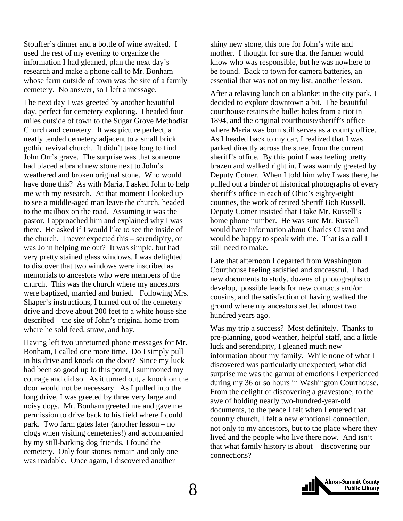Stouffer's dinner and a bottle of wine awaited. I used the rest of my evening to organize the information I had gleaned, plan the next day's research and make a phone call to Mr. Bonham whose farm outside of town was the site of a family cemetery. No answer, so I left a message.

The next day I was greeted by another beautiful day, perfect for cemetery exploring. I headed four miles outside of town to the Sugar Grove Methodist Church and cemetery. It was picture perfect, a neatly tended cemetery adjacent to a small brick gothic revival church. It didn't take long to find John Orr's grave. The surprise was that someone had placed a brand new stone next to John's weathered and broken original stone. Who would have done this? As with Maria, I asked John to help me with my research. At that moment I looked up to see a middle-aged man leave the church, headed to the mailbox on the road. Assuming it was the pastor, I approached him and explained why I was there. He asked if I would like to see the inside of the church. I never expected this – serendipity, or was John helping me out? It was simple, but had very pretty stained glass windows. I was delighted to discover that two windows were inscribed as memorials to ancestors who were members of the church. This was the church where my ancestors were baptized, married and buried. Following Mrs. Shaper's instructions, I turned out of the cemetery drive and drove about 200 feet to a white house she described – the site of John's original home from where he sold feed, straw, and hay.

Having left two unreturned phone messages for Mr. Bonham, I called one more time. Do I simply pull in his drive and knock on the door? Since my luck had been so good up to this point, I summoned my courage and did so. As it turned out, a knock on the door would not be necessary. As I pulled into the long drive, I was greeted by three very large and noisy dogs. Mr. Bonham greeted me and gave me permission to drive back to his field where I could park. Two farm gates later (another lesson – no clogs when visiting cemeteries!) and accompanied by my still-barking dog friends, I found the cemetery. Only four stones remain and only one was readable. Once again, I discovered another

shiny new stone, this one for John's wife and mother. I thought for sure that the farmer would know who was responsible, but he was nowhere to be found. Back to town for camera batteries, an essential that was not on my list, another lesson.

After a relaxing lunch on a blanket in the city park, I decided to explore downtown a bit. The beautiful courthouse retains the bullet holes from a riot in 1894, and the original courthouse/sheriff's office where Maria was born still serves as a county office. As I headed back to my car, I realized that I was parked directly across the street from the current sheriff's office. By this point I was feeling pretty brazen and walked right in. I was warmly greeted by Deputy Cotner. When I told him why I was there, he pulled out a binder of historical photographs of every sheriff's office in each of Ohio's eighty-eight counties, the work of retired Sheriff Bob Russell. Deputy Cotner insisted that I take Mr. Russell's home phone number. He was sure Mr. Russell would have information about Charles Cissna and would be happy to speak with me. That is a call I still need to make.

Late that afternoon I departed from Washington Courthouse feeling satisfied and successful. I had new documents to study, dozens of photographs to develop, possible leads for new contacts and/or cousins, and the satisfaction of having walked the ground where my ancestors settled almost two hundred years ago.

Was my trip a success? Most definitely. Thanks to pre-planning, good weather, helpful staff, and a little luck and serendipity, I gleaned much new information about my family. While none of what I discovered was particularly unexpected, what did surprise me was the gamut of emotions I experienced during my 36 or so hours in Washington Courthouse. From the delight of discovering a gravestone, to the awe of holding nearly two-hundred-year-old documents, to the peace I felt when I entered that country church, I felt a new emotional connection, not only to my ancestors, but to the place where they lived and the people who live there now. And isn't that what family history is about – discovering our connections?

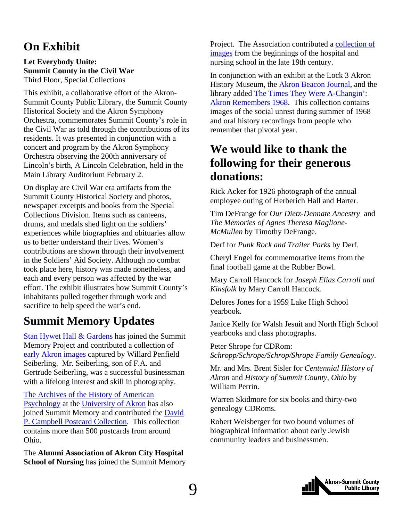# <span id="page-8-0"></span>**On Exhibit**

#### **Let Everybody Unite: Summit County in the Civil War**  Third Floor, Special Collections

This exhibit, a collaborative effort of the Akron-Summit County Public Library, the Summit County Historical Society and the Akron Symphony Orchestra, commemorates Summit County's role in the Civil War as told through the contributions of its residents. It was presented in conjunction with a concert and program by the Akron Symphony Orchestra observing the 200th anniversary of Lincoln's birth, A Lincoln Celebration, held in the Main Library Auditorium February 2.

On display are Civil War era artifacts from the Summit County Historical Society and photos, newspaper excerpts and books from the Special Collections Division. Items such as canteens, drums, and medals shed light on the soldiers' experiences while biographies and obituaries allow us to better understand their lives. Women's contributions are shown through their involvement in the Soldiers' Aid Society. Although no combat took place here, history was made nonetheless, and each and every person was affected by the war effort. The exhibit illustrates how Summit County's inhabitants pulled together through work and sacrifice to help speed the war's end.

# **Summit Memory Updates**

[Stan Hywet Hall & Gardens](http://www.stanhywet.org/) has joined the Summit Memory Project and contributed a collection of [early Akron images](http://www.summitmemory.org/cdm4/browse.php) captured by Willard Penfield Seiberling. Mr. Seiberling, son of F.A. and Gertrude Seiberling, was a successful businessman with a lifelong interest and skill in photography.

[The Archives of the History of American](http://www3.uakron.edu/ahap/)  [Psychology](http://www3.uakron.edu/ahap/) at the [University of Akron](http://www.uakron.edu/) has also joined Summit Memory and contributed the [David](http://www.summitmemory.org/cdm4/browse.php)  [P. Campbell Postcard Collection.](http://www.summitmemory.org/cdm4/browse.php) This collection contains more than 500 postcards from around Ohio.

The **Alumni Association of Akron City Hospital School of Nursing** has joined the Summit Memory Project. The Association contributed a [collection of](http://www.summitmemory.org/cdm4/results.php?CISORESTMP=results.php&CISOVIEWTMP=item_viewer.php&CISOMODE=grid&CISOGRID=thumbnail,A,1;title,A,1;contri,A,0;descri,200,0;none,A,0;20;title,none,none,none,none&CISOBIB=title,A,1,N;subjec,A,0,N;descri,200,0,N;none,A,0,N;none,A,0,N;20;title,none,none,none,none&CISOTHUMB=20%20(4x5);title,none,none,none,none&CISOTITLE=20;title,none,none,none,none&CISOHIERA=20;subjec,title,none,none,none&CISOSUPPRESS=1&CISOTYPE=link&CISOOP1=all&CISOFIELD1=relati&CISOBOX1=Alumni+Association+Akron+City+Hospital+School+Nursing&CISOOP2=all&CISOFIELD2=subjec&CISOBOX2=&CISOOP3=all&CISOFIELD3=descri&CISOBOX3=&CISOOP4=all&CISOFIELD4=CISOSEARCHALL&CISOBOX4=&c=all&CISOROOT=all)  [images](http://www.summitmemory.org/cdm4/results.php?CISORESTMP=results.php&CISOVIEWTMP=item_viewer.php&CISOMODE=grid&CISOGRID=thumbnail,A,1;title,A,1;contri,A,0;descri,200,0;none,A,0;20;title,none,none,none,none&CISOBIB=title,A,1,N;subjec,A,0,N;descri,200,0,N;none,A,0,N;none,A,0,N;20;title,none,none,none,none&CISOTHUMB=20%20(4x5);title,none,none,none,none&CISOTITLE=20;title,none,none,none,none&CISOHIERA=20;subjec,title,none,none,none&CISOSUPPRESS=1&CISOTYPE=link&CISOOP1=all&CISOFIELD1=relati&CISOBOX1=Alumni+Association+Akron+City+Hospital+School+Nursing&CISOOP2=all&CISOFIELD2=subjec&CISOBOX2=&CISOOP3=all&CISOFIELD3=descri&CISOBOX3=&CISOOP4=all&CISOFIELD4=CISOSEARCHALL&CISOBOX4=&c=all&CISOROOT=all) from the beginnings of the hospital and nursing school in the late 19th century.

In conjunction with an exhibit at the Lock 3 Akron History Museum, the [Akron Beacon Journal](http://www.ohio.com/), and the library added [The Times They Were A-Changin':](http://www.summitmemory.org/cdm4/browse.php)  [Akron Remembers 1968.](http://www.summitmemory.org/cdm4/browse.php) This collection contains images of the social unrest during summer of 1968 and oral history recordings from people who remember that pivotal year.

# **We would like to thank the following for their generous donations:**

Rick Acker for 1926 photograph of the annual employee outing of Herberich Hall and Harter.

Tim DeFrange for *Our Dietz-Dennate Ancestry* and *The Memories of Agnes Theresa Maglione-McMullen* by Timothy DeFrange.

Derf for *Punk Rock and Trailer Parks* by Derf.

Cheryl Engel for commemorative items from the final football game at the Rubber Bowl.

Mary Carroll Hancock for *Joseph Elias Carroll and Kinsfolk* by Mary Carroll Hancock.

Delores Jones for a 1959 Lake High School yearbook.

Janice Kelly for Walsh Jesuit and North High School yearbooks and class photographs.

Peter Shrope for CDRom: *Schropp/Schrope/Schrop/Shrope Family Genealogy.*

Mr. and Mrs. Brent Sisler for *Centennial History of Akron* and *History of Summit County, Ohio* by William Perrin.

Warren Skidmore for six books and thirty-two genealogy CDRoms.

Robert Weisberger for two bound volumes of biographical information about early Jewish community leaders and businessmen.

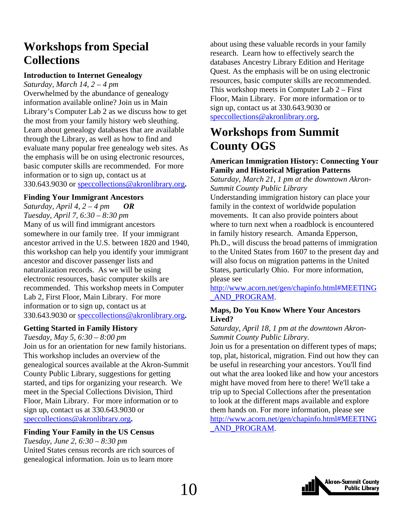# <span id="page-9-0"></span>**Workshops from Special Collections**

#### **Introduction to Internet Genealogy**

*Saturday, March 14, 2 – 4 pm* 

Overwhelmed by the abundance of genealogy information available online? Join us in Main Library's Computer Lab 2 as we discuss how to get the most from your family history web sleuthing. Learn about genealogy databases that are available through the Library, as well as how to find and evaluate many popular free genealogy web sites. As the emphasis will be on using electronic resources, basic computer skills are recommended. For more information or to sign up, contact us at 330.643.9030 or speccollections@akronlibrary.org**.** 

#### **Finding Your Immigrant Ancestors**

*Saturday, April 4, 2 – 4 pm OR Tuesday, April 7, 6:30 – 8:30 pm*  Many of us will find immigrant ancestors somewhere in our family tree. If your immigrant ancestor arrived in the U.S. between 1820 and 1940, this workshop can help you identify your immigrant ancestor and discover passenger lists and naturalization records. As we will be using electronic resources, basic computer skills are recommended. This workshop meets in Computer Lab 2, First Floor, Main Library. For more information or to sign up, contact us at 330.643.9030 or speccollections@akronlibrary.org**.** 

#### **Getting Started in Family History**

*Tuesday, May 5, 6:30 – 8:00 pm* Join us for an orientation for new family historians. This workshop includes an overview of the genealogical sources available at the Akron-Summit County Public Library, suggestions for getting started, and tips for organizing your research. We meet in the Special Collections Division, Third Floor, Main Library. For more information or to sign up, contact us at 330.643.9030 or speccollections@akronlibrary.org**.** 

#### **Finding Your Family in the US Census**

*Tuesday, June 2, 6:30 – 8:30 pm*  United States census records are rich sources of genealogical information. Join us to learn more

about using these valuable records in your family research. Learn how to effectively search the databases Ancestry Library Edition and Heritage Quest. As the emphasis will be on using electronic resources, basic computer skills are recommended. This workshop meets in Computer Lab 2 – First Floor, Main Library. For more information or to sign up, contact us at 330.643.9030 or [speccollections@akronlibrary.org](mailto:speccollections@akronlibrary.org)**.** 

# **Workshops from Summit County OGS**

#### **American Immigration History: Connecting Your Family and Historical Migration Patterns**

*Saturday, March 21, 1 pm at the downtown Akron-Summit County Public Library* 

Understanding immigration history can place your family in the context of worldwide population movements. It can also provide pointers about where to turn next when a roadblock is encountered in family history research. Amanda Epperson, Ph.D., will discuss the broad patterns of immigration to the United States from 1607 to the present day and will also focus on migration patterns in the United States, particularly Ohio. For more information, please see

[http://www.acorn.net/gen/chapinfo.html#MEETING](http://www.acorn.net/gen/chapinfo.html#MEETING_AND_PROGRAM) [\\_AND\\_PROGRAM.](http://www.acorn.net/gen/chapinfo.html#MEETING_AND_PROGRAM)

#### **Maps, Do You Know Where Your Ancestors Lived?**

#### *Saturday, April 18, 1 pm at the downtown Akron-Summit County Public Library.*

Join us for a presentation on different types of maps; top, plat, historical, migration. Find out how they can be useful in researching your ancestors. You'll find out what the area looked like and how your ancestors might have moved from here to there! We'll take a trip up to Special Collections after the presentation to look at the different maps available and explore them hands on. For more information, please see [http://www.acorn.net/gen/chapinfo.html#MEETING](http://www.acorn.net/gen/chapinfo.html#MEETING_AND_PROGRAM) [\\_AND\\_PROGRAM.](http://www.acorn.net/gen/chapinfo.html#MEETING_AND_PROGRAM)

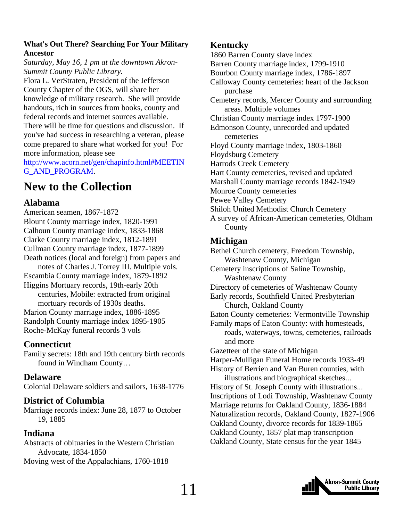#### <span id="page-10-0"></span>**What's Out There? Searching For Your Military Ancestor**

*Saturday, May 16, 1 pm at the downtown Akron-Summit County Public Library.* 

Flora L. VerStraten, President of the Jefferson County Chapter of the OGS, will share her knowledge of military research. She will provide handouts, rich in sources from books, county and federal records and internet sources available. There will be time for questions and discussion. If you've had success in researching a veteran, please come prepared to share what worked for you! For more information, please see

[http://www.acorn.net/gen/chapinfo.html#MEETIN](http://www.acorn.net/gen/chapinfo.html#MEETING_AND_PROGRAM) [G\\_AND\\_PROGRAM.](http://www.acorn.net/gen/chapinfo.html#MEETING_AND_PROGRAM)

# **New to the Collection**

#### **Alabama**

American seamen, 1867-1872 Blount County marriage index, 1820-1991 Calhoun County marriage index, 1833-1868 Clarke County marriage index, 1812-1891 Cullman County marriage index, 1877-1899 Death notices (local and foreign) from papers and notes of Charles J. Torrey III. Multiple vols. Escambia County marriage index, 1879-1892 Higgins Mortuary records, 19th-early 20th centuries, Mobile: extracted from original mortuary records of 1930s deaths. Marion County marriage index, 1886-1895 Randolph County marriage index 1895-1905 Roche-McKay funeral records 3 vols

#### **Connecticut**

Family secrets: 18th and 19th century birth records found in Windham County…

#### **Delaware**

Colonial Delaware soldiers and sailors, 1638-1776

#### **District of Columbia**

Marriage records index: June 28, 1877 to October 19, 1885

#### **Indiana**

Abstracts of obituaries in the Western Christian Advocate, 1834-1850 Moving west of the Appalachians, 1760-1818

#### **Kentucky**

1860 Barren County slave index Barren County marriage index, 1799-1910 Bourbon County marriage index, 1786-1897 Calloway County cemeteries: heart of the Jackson purchase Cemetery records, Mercer County and surrounding areas. Multiple volumes Christian County marriage index 1797-1900 Edmonson County, unrecorded and updated cemeteries Floyd County marriage index, 1803-1860 Floydsburg Cemetery Harrods Creek Cemetery Hart County cemeteries, revised and updated Marshall County marriage records 1842-1949 Monroe County cemeteries Pewee Valley Cemetery Shiloh United Methodist Church Cemetery A survey of African-American cemeteries, Oldham County

#### **Michigan**

Bethel Church cemetery, Freedom Township, Washtenaw County, Michigan Cemetery inscriptions of Saline Township, Washtenaw County Directory of cemeteries of Washtenaw County Early records, Southfield United Presbyterian Church, Oakland County Eaton County cemeteries: Vermontville Township Family maps of Eaton County: with homesteads, roads, waterways, towns, cemeteries, railroads and more Gazetteer of the state of Michigan Harper-Mulligan Funeral Home records 1933-49 History of Berrien and Van Buren counties, with illustrations and biographical sketches... History of St. Joseph County with illustrations... Inscriptions of Lodi Township, Washtenaw County Marriage returns for Oakland County, 1836-1884 Naturalization records, Oakland County, 1827-1906 Oakland County, divorce records for 1839-1865 Oakland County, 1857 plat map transcription

Oakland County, State census for the year 1845



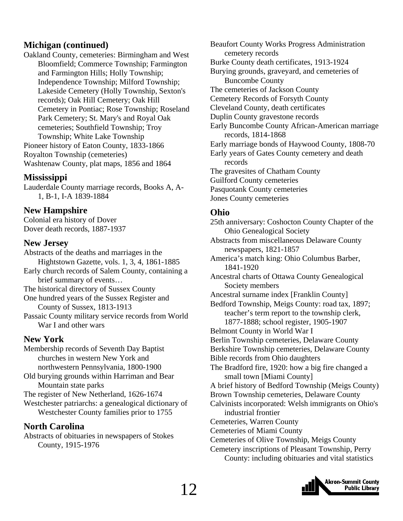#### **Michigan (continued)**

Oakland County, cemeteries: Birmingham and West Bloomfield; Commerce Township; Farmington and Farmington Hills; Holly Township; Independence Township; Milford Township; Lakeside Cemetery (Holly Township, Sexton's records); Oak Hill Cemetery; Oak Hill Cemetery in Pontiac; Rose Township; Roseland Park Cemetery; St. Mary's and Royal Oak cemeteries; Southfield Township; Troy Township; White Lake Township Pioneer history of Eaton County, 1833-1866 Royalton Township (cemeteries) Washtenaw County, plat maps, 1856 and 1864

#### **Mississippi**

Lauderdale County marriage records, Books A, A-1, B-1, I-A 1839-1884

#### **New Hampshire**

Colonial era history of Dover Dover death records, 1887-1937

#### **New Jersey**

Abstracts of the deaths and marriages in the Hightstown Gazette, vols. 1, 3, 4, 1861-1885 Early church records of Salem County, containing a brief summary of events… The historical directory of Sussex County One hundred years of the Sussex Register and County of Sussex, 1813-1913 Passaic County military service records from World War I and other wars

#### **New York**

Membership records of Seventh Day Baptist churches in western New York and northwestern Pennsylvania, 1800-1900 Old burying grounds within Harriman and Bear Mountain state parks The register of New Netherland, 1626-1674 Westchester patriarchs: a genealogical dictionary of Westchester County families prior to 1755

#### **North Carolina**

Abstracts of obituaries in newspapers of Stokes County, 1915-1976

Beaufort County Works Progress Administration cemetery records Burke County death certificates, 1913-1924 Burying grounds, graveyard, and cemeteries of Buncombe County The cemeteries of Jackson County Cemetery Records of Forsyth County Cleveland County, death certificates Duplin County gravestone records Early Buncombe County African-American marriage records, 1814-1868 Early marriage bonds of Haywood County, 1808-70 Early years of Gates County cemetery and death records The gravesites of Chatham County Guilford County cemeteries Pasquotank County cemeteries Jones County cemeteries

#### **Ohio**

25th anniversary: Coshocton County Chapter of the Ohio Genealogical Society Abstracts from miscellaneous Delaware County newspapers, 1821-1857 America's match king: Ohio Columbus Barber, 1841-1920 Ancestral charts of Ottawa County Genealogical Society members Ancestral surname index [Franklin County] Bedford Township, Meigs County: road tax, 1897; teacher's term report to the township clerk, 1877-1888; school register, 1905-1907 Belmont County in World War I Berlin Township cemeteries, Delaware County Berkshire Township cemeteries, Delaware County Bible records from Ohio daughters The Bradford fire, 1920: how a big fire changed a small town [Miami County] A brief history of Bedford Township (Meigs County) Brown Township cemeteries, Delaware County Calvinists incorporated: Welsh immigrants on Ohio's industrial frontier Cemeteries, Warren County Cemeteries of Miami County Cemeteries of Olive Township, Meigs County Cemetery inscriptions of Pleasant Township, Perry County: including obituaries and vital statistics

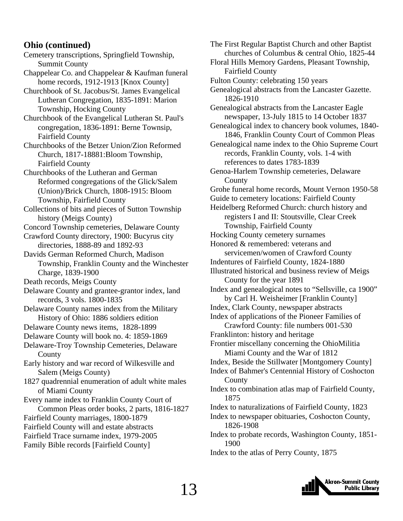#### **Ohio (continued)**

Cemetery transcriptions, Springfield Township, Summit County

Chappelear Co. and Chappelear & Kaufman funeral home records, 1912-1913 [Knox County]

Churchbook of St. Jacobus/St. James Evangelical Lutheran Congregation, 1835-1891: Marion Township, Hocking County

Churchbook of the Evangelical Lutheran St. Paul's congregation, 1836-1891: Berne Townsip, Fairfield County

Churchbooks of the Betzer Union/Zion Reformed Church, 1817-18881:Bloom Township, Fairfield County

Churchbooks of the Lutheran and German Reformed congregations of the Glick/Salem (Union)/Brick Church, 1808-1915: Bloom Township, Fairfield County

Collections of bits and pieces of Sutton Township history (Meigs County)

Concord Township cemeteries, Delaware County

Crawford County directory, 1900: Bucyrus city directories, 1888-89 and 1892-93

Davids German Reformed Church, Madison Township, Franklin County and the Winchester Charge, 1839-1900

Death records, Meigs County

Delaware County and grantee-grantor index, land records, 3 vols. 1800-1835

- Delaware County names index from the Military History of Ohio: 1886 soldiers edition
- Delaware County news items, 1828-1899
- Delaware County will book no. 4: 1859-1869
- Delaware-Troy Township Cemeteries, Delaware **County**

Early history and war record of Wilkesville and Salem (Meigs County)

1827 quadrennial enumeration of adult white males of Miami County

Every name index to Franklin County Court of

Common Pleas order books, 2 parts, 1816-1827

Fairfield County marriages, 1800-1879

- Fairfield County will and estate abstracts
- Fairfield Trace surname index, 1979-2005
- Family Bible records [Fairfield County]

The First Regular Baptist Church and other Baptist churches of Columbus & central Ohio, 1825-44 Floral Hills Memory Gardens, Pleasant Township, Fairfield County Fulton County: celebrating 150 years Genealogical abstracts from the Lancaster Gazette. 1826-1910 Genealogical abstracts from the Lancaster Eagle newspaper, 13-July 1815 to 14 October 1837 Genealogical index to chancery book volumes, 1840- 1846, Franklin County Court of Common Pleas Genealogical name index to the Ohio Supreme Court records, Franklin County, vols. 1-4 with references to dates 1783-1839 Genoa-Harlem Township cemeteries, Delaware County Grohe funeral home records, Mount Vernon 1950-58 Guide to cemetery locations: Fairfield County Heidelberg Reformed Church: church history and registers I and II: Stoutsville, Clear Creek Township, Fairfield County Hocking County cemetery surnames Honored & remembered: veterans and servicemen/women of Crawford County Indentures of Fairfield County, 1824-1880 Illustrated historical and business review of Meigs County for the year 1891 Index and genealogical notes to "Sellsville, ca 1900" by Carl H. Weisheimer [Franklin County] Index, Clark County, newspaper abstracts Index of applications of the Pioneer Families of Crawford County: file numbers 001-530 Franklinton: history and heritage Frontier miscellany concerning the OhioMilitia Miami County and the War of 1812 Index, Beside the Stillwater [Montgomery County] Index of Bahmer's Centennial History of Coshocton County Index to combination atlas map of Fairfield County, 1875 Index to naturalizations of Fairfield County, 1823 Index to newspaper obituaries, Coshocton County,

1826-1908 Index to probate records, Washington County, 1851- 1900

Index to the atlas of Perry County, 1875

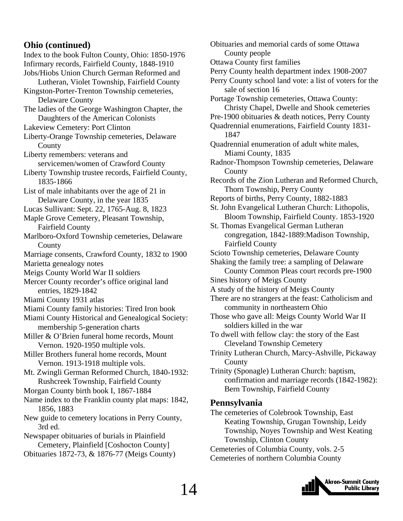#### **Ohio (continued)**

Index to the book Fulton County, Ohio: 1850-1976 Infirmary records, Fairfield County, 1848-1910 Jobs/Hiobs Union Church German Reformed and Lutheran, Violet Township, Fairfield County Kingston-Porter-Trenton Township cemeteries, Delaware County The ladies of the George Washington Chapter, the Daughters of the American Colonists Lakeview Cemetery: Port Clinton Liberty-Orange Township cemeteries, Delaware **County** Liberty remembers: veterans and servicemen/women of Crawford County Liberty Township trustee records, Fairfield County, 1835-1866 List of male inhabitants over the age of 21 in Delaware County, in the year 1835 Lucas Sullivant: Sept. 22, 1765-Aug. 8, 1823 Maple Grove Cemetery, Pleasant Township, Fairfield County Marlboro-Oxford Township cemeteries, Delaware County Marriage consents, Crawford County, 1832 to 1900 Marietta genealogy notes Meigs County World War II soldiers Mercer County recorder's office original land entries, 1829-1842 Miami County 1931 atlas Miami County family histories: Tired Iron book Miami County Historical and Genealogical Society: membership 5-generation charts Miller & O'Brien funeral home records, Mount Vernon. 1920-1950 multiple vols. Miller Brothers funeral home records, Mount Vernon. 1913-1918 multiple vols. Mt. Zwingli German Reformed Church, 1840-1932: Rushcreek Township, Fairfield County Morgan County birth book I, 1867-1884 Name index to the Franklin county plat maps: 1842, 1856, 1883 New guide to cemetery locations in Perry County, 3rd ed. Newspaper obituaries of burials in Plainfield Cemetery, Plainfield [Coshocton County] Obituaries 1872-73, & 1876-77 (Meigs County)

Obituaries and memorial cards of some Ottawa County people Ottawa County first families Perry County health department index 1908-2007 Perry County school land vote: a list of voters for the sale of section 16 Portage Township cemeteries, Ottawa County: Christy Chapel, Dwelle and Shook cemeteries Pre-1900 obituaries & death notices, Perry County Quadrennial enumerations, Fairfield County 1831- 1847 Quadrennial enumeration of adult white males, Miami County, 1835 Radnor-Thompson Township cemeteries, Delaware County Records of the Zion Lutheran and Reformed Church, Thorn Township, Perry County Reports of births, Perry County, 1882-1883 St. John Evangelical Lutheran Church: Lithopolis, Bloom Township, Fairfield County. 1853-1920 St. Thomas Evangelical German Lutheran congregation, 1842-1889:Madison Township, Fairfield County Scioto Township cemeteries, Delaware County Shaking the family tree: a sampling of Delaware County Common Pleas court records pre-1900 Sines history of Meigs County A study of the history of Meigs County There are no strangers at the feast: Catholicism and community in northeastern Ohio Those who gave all: Meigs County World War II soldiers killed in the war To dwell with fellow clay: the story of the East Cleveland Township Cemetery Trinity Lutheran Church, Marcy-Ashville, Pickaway County Trinity (Sponagle) Lutheran Church: baptism, confirmation and marriage records (1842-1982): Bern Township, Fairfield County **Pennsylvania**  The cemeteries of Colebrook Township, East Keating Township, Grugan Township, Leidy

Township, Noyes Township and West Keating Township, Clinton County

Cemeteries of Columbia County, vols. 2-5 Cemeteries of northern Columbia County

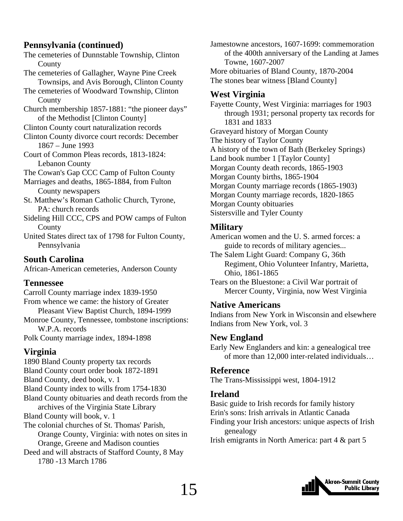#### **Pennsylvania (continued)**

The cemeteries of Dunnstable Township, Clinton **County** 

- The cemeteries of Gallagher, Wayne Pine Creek Townsips, and Avis Borough, Clinton County
- The cemeteries of Woodward Township, Clinton County
- Church membership 1857-1881: "the pioneer days" of the Methodist [Clinton County]

Clinton County court naturalization records

- Clinton County divorce court records: December 1867 – June 1993
- Court of Common Pleas records, 1813-1824: Lebanon County

The Cowan's Gap CCC Camp of Fulton County

Marriages and deaths, 1865-1884, from Fulton County newspapers

St. Matthew's Roman Catholic Church, Tyrone, PA: church records

- Sideling Hill CCC, CPS and POW camps of Fulton County
- United States direct tax of 1798 for Fulton County, Pennsylvania

### **South Carolina**

African-American cemeteries, Anderson County

### **Tennessee**

Carroll County marriage index 1839-1950 From whence we came: the history of Greater Pleasant View Baptist Church, 1894-1999 Monroe County, Tennessee, tombstone inscriptions: W.P.A. records Polk County marriage index, 1894-1898

# **Virginia**

1890 Bland County property tax records Bland County court order book 1872-1891 Bland County, deed book, v. 1 Bland County index to wills from 1754-1830 Bland County obituaries and death records from the archives of the Virginia State Library Bland County will book, v. 1 The colonial churches of St. Thomas' Parish, Orange County, Virginia: with notes on sites in Orange, Greene and Madison counties Deed and will abstracts of Stafford County, 8 May

1780 -13 March 1786

Jamestowne ancestors, 1607-1699: commemoration of the 400th anniversary of the Landing at James Towne, 1607-2007 More obituaries of Bland County, 1870-2004

The stones bear witness [Bland County]

## **West Virginia**

Fayette County, West Virginia: marriages for 1903 through 1931; personal property tax records for 1831 and 1833 Graveyard history of Morgan County The history of Taylor County A history of the town of Bath (Berkeley Springs) Land book number 1 [Taylor County] Morgan County death records, 1865-1903 Morgan County births, 1865-1904 Morgan County marriage records (1865-1903) Morgan County marriage records, 1820-1865 Morgan County obituaries Sistersville and Tyler County

#### **Military**

American women and the U. S. armed forces: a guide to records of military agencies...

The Salem Light Guard: Company G, 36th Regiment, Ohio Volunteer Infantry, Marietta, Ohio, 1861-1865

Tears on the Bluestone: a Civil War portrait of Mercer County, Virginia, now West Virginia

#### **Native Americans**

Indians from New York in Wisconsin and elsewhere Indians from New York, vol. 3

### **New England**

Early New Englanders and kin: a genealogical tree of more than 12,000 inter-related individuals…

### **Reference**

The Trans-Mississippi west, 1804-1912

### **Ireland**

Basic guide to Irish records for family history

Erin's sons: Irish arrivals in Atlantic Canada

Finding your Irish ancestors: unique aspects of Irish genealogy

Irish emigrants in North America: part 4 & part 5